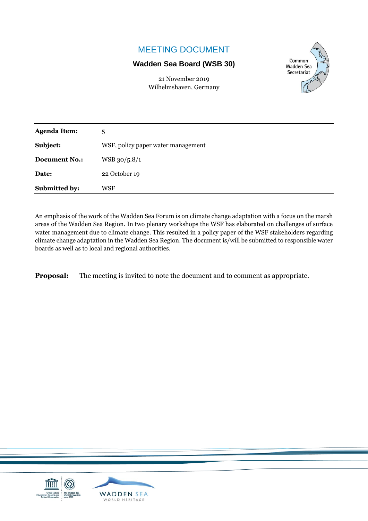### MEETING DOCUMENT

#### **Wadden Sea Board (WSB 30)**

21 November 2019 Wilhelmshaven, Germany



| <b>Agenda Item:</b>  | 5                                  |
|----------------------|------------------------------------|
| Subject:             | WSF, policy paper water management |
| <b>Document No.:</b> | WSB 30/5.8/1                       |
| Date:                | 22 October 19                      |
| Submitted by:        | WSF                                |

An emphasis of the work of the Wadden Sea Forum is on climate change adaptation with a focus on the marsh areas of the Wadden Sea Region. In two plenary workshops the WSF has elaborated on challenges of surface water management due to climate change. This resulted in a policy paper of the WSF stakeholders regarding climate change adaptation in the Wadden Sea Region. The document is/will be submitted to responsible water boards as well as to local and regional authorities.

**Proposal:** The meeting is invited to note the document and to comment as appropriate.

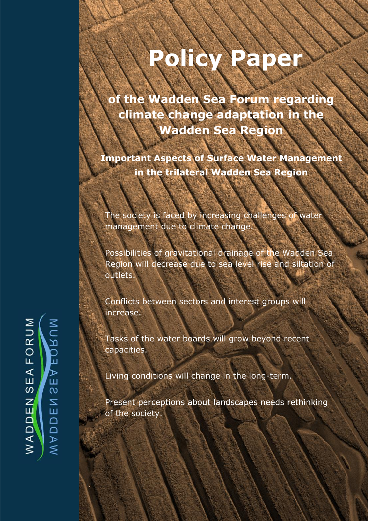# **Policy Paper**

**i** the Wadden Sea Forum regarding **climate change adaptation in the Wadden Sea Region**

**Important Aspects of Surface Water Management in the trilateral Wadden Sea Region**

The society is faced by increasing challenges of water management due to climate change.

Possibilities of gravitational drainage of the Wadden Sea Region will decrease due to sea level rise and siltation of outlets.

Conflicts between sectors and interest groups will increase.

Tasks of the water boards will grow beyond recent capacities.

Living conditions will change in the long-term.

Present perceptions about landscapes needs rethinking of the society.

**Position below that the particle of the particle of the particle of the paper of the particle of the paper of the paper of the paper of the paper of the paper of the paper of the paper of the paper of the paper of the pap** 

NURQEAES FORUM  $E$ A  $\mathbf{\Omega}$ **MADDEN** WADDEN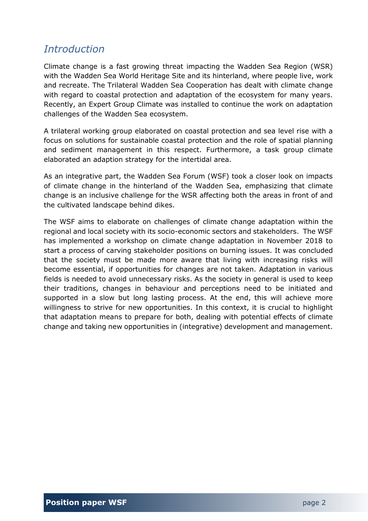## *Introduction*

Climate change is a fast growing threat impacting the Wadden Sea Region (WSR) with the Wadden Sea World Heritage Site and its hinterland, where people live, work and recreate. The Trilateral Wadden Sea Cooperation has dealt with climate change with regard to coastal protection and adaptation of the ecosystem for many years. Recently, an Expert Group Climate was installed to continue the work on adaptation challenges of the Wadden Sea ecosystem.

A trilateral working group elaborated on coastal protection and sea level rise with a focus on solutions for sustainable coastal protection and the role of spatial planning and sediment management in this respect. Furthermore, a task group climate elaborated an adaption strategy for the intertidal area.

As an integrative part, the Wadden Sea Forum (WSF) took a closer look on impacts of climate change in the hinterland of the Wadden Sea, emphasizing that climate change is an inclusive challenge for the WSR affecting both the areas in front of and the cultivated landscape behind dikes.

The WSF aims to elaborate on challenges of climate change adaptation within the regional and local society with its socio-economic sectors and stakeholders. The WSF has implemented a workshop on climate change adaptation in November 2018 to start a process of carving stakeholder positions on burning issues. It was concluded that the society must be made more aware that living with increasing risks will become essential, if opportunities for changes are not taken. Adaptation in various fields is needed to avoid unnecessary risks. As the society in general is used to keep their traditions, changes in behaviour and perceptions need to be initiated and supported in a slow but long lasting process. At the end, this will achieve more willingness to strive for new opportunities. In this context, it is crucial to highlight that adaptation means to prepare for both, dealing with potential effects of climate change and taking new opportunities in (integrative) development and management.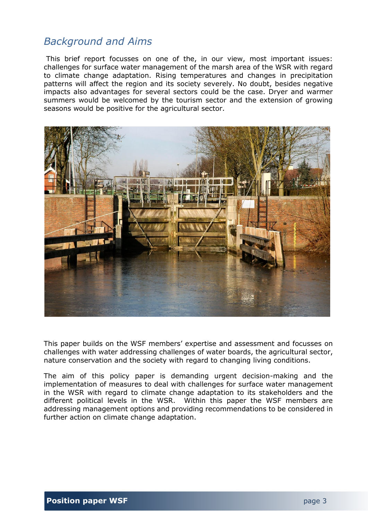## *Background and Aims*

This brief report focusses on one of the, in our view, most important issues: challenges for surface water management of the marsh area of the WSR with regard to climate change adaptation. Rising temperatures and changes in precipitation patterns will affect the region and its society severely. No doubt, besides negative impacts also advantages for several sectors could be the case. Dryer and warmer summers would be welcomed by the tourism sector and the extension of growing seasons would be positive for the agricultural sector.



This paper builds on the WSF members' expertise and assessment and focusses on challenges with water addressing challenges of water boards, the agricultural sector, nature conservation and the society with regard to changing living conditions.

The aim of this policy paper is demanding urgent decision-making and the implementation of measures to deal with challenges for surface water management in the WSR with regard to climate change adaptation to its stakeholders and the different political levels in the WSR. Within this paper the WSF members are addressing management options and providing recommendations to be considered in further action on climate change adaptation.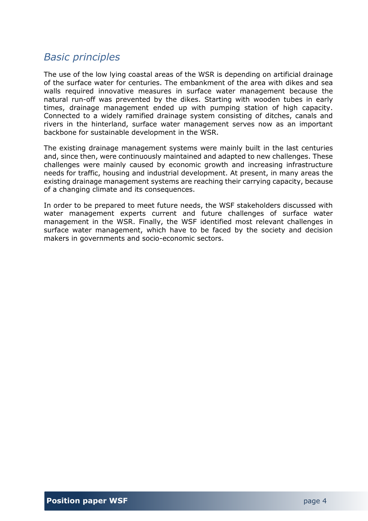## *Basic principles*

The use of the low lying coastal areas of the WSR is depending on artificial drainage of the surface water for centuries. The embankment of the area with dikes and sea walls required innovative measures in surface water management because the natural run-off was prevented by the dikes. Starting with wooden tubes in early times, drainage management ended up with pumping station of high capacity. Connected to a widely ramified drainage system consisting of ditches, canals and rivers in the hinterland, surface water management serves now as an important backbone for sustainable development in the WSR.

The existing drainage management systems were mainly built in the last centuries and, since then, were continuously maintained and adapted to new challenges. These challenges were mainly caused by economic growth and increasing infrastructure needs for traffic, housing and industrial development. At present, in many areas the existing drainage management systems are reaching their carrying capacity, because of a changing climate and its consequences.

In order to be prepared to meet future needs, the WSF stakeholders discussed with water management experts current and future challenges of surface water management in the WSR. Finally, the WSF identified most relevant challenges in surface water management, which have to be faced by the society and decision makers in governments and socio-economic sectors.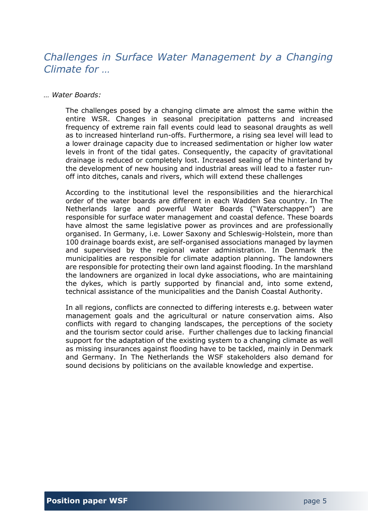## *Challenges in Surface Water Management by a Changing Climate for …*

#### *… Water Boards:*

The challenges posed by a changing climate are almost the same within the entire WSR. Changes in seasonal precipitation patterns and increased frequency of extreme rain fall events could lead to seasonal draughts as well as to increased hinterland run-offs. Furthermore, a rising sea level will lead to a lower drainage capacity due to increased sedimentation or higher low water levels in front of the tidal gates. Consequently, the capacity of gravitational drainage is reduced or completely lost. Increased sealing of the hinterland by the development of new housing and industrial areas will lead to a faster runoff into ditches, canals and rivers, which will extend these challenges

According to the institutional level the responsibilities and the hierarchical order of the water boards are different in each Wadden Sea country. In The Netherlands large and powerful Water Boards ("Waterschappen") are responsible for surface water management and coastal defence. These boards have almost the same legislative power as provinces and are professionally organised. In Germany, i.e. Lower Saxony and Schleswig-Holstein, more than 100 drainage boards exist, are self-organised associations managed by laymen and supervised by the regional water administration. In Denmark the municipalities are responsible for climate adaption planning. The landowners are responsible for protecting their own land against flooding. In the marshland the landowners are organized in local dyke associations, who are maintaining the dykes, which is partly supported by financial and, into some extend, technical assistance of the municipalities and the Danish Coastal Authority.

In all regions, conflicts are connected to differing interests e.g. between water management goals and the agricultural or nature conservation aims. Also conflicts with regard to changing landscapes, the perceptions of the society and the tourism sector could arise. Further challenges due to lacking financial support for the adaptation of the existing system to a changing climate as well as missing insurances against flooding have to be tackled, mainly in Denmark and Germany. In The Netherlands the WSF stakeholders also demand for sound decisions by politicians on the available knowledge and expertise.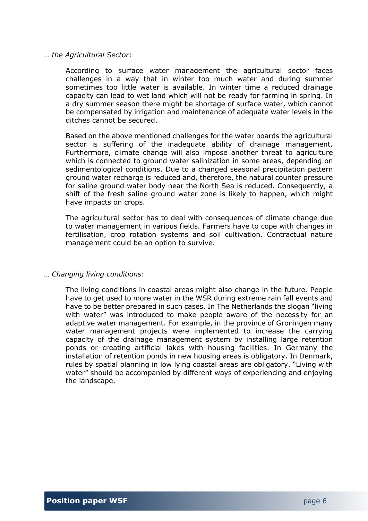#### … *the Agricultural Sector*:

According to surface water management the agricultural sector faces challenges in a way that in winter too much water and during summer sometimes too little water is available. In winter time a reduced drainage capacity can lead to wet land which will not be ready for farming in spring. In a dry summer season there might be shortage of surface water, which cannot be compensated by irrigation and maintenance of adequate water levels in the ditches cannot be secured.

Based on the above mentioned challenges for the water boards the agricultural sector is suffering of the inadequate ability of drainage management. Furthermore, climate change will also impose another threat to agriculture which is connected to ground water salinization in some areas, depending on sedimentological conditions. Due to a changed seasonal precipitation pattern ground water recharge is reduced and, therefore, the natural counter pressure for saline ground water body near the North Sea is reduced. Consequently, a shift of the fresh saline ground water zone is likely to happen, which might have impacts on crops.

The agricultural sector has to deal with consequences of climate change due to water management in various fields. Farmers have to cope with changes in fertilisation, crop rotation systems and soil cultivation. Contractual nature management could be an option to survive.

#### … *Changing living conditions*:

The living conditions in coastal areas might also change in the future. People have to get used to more water in the WSR during extreme rain fall events and have to be better prepared in such cases. In The Netherlands the slogan "living with water" was introduced to make people aware of the necessity for an adaptive water management. For example, in the province of Groningen many water management projects were implemented to increase the carrying capacity of the drainage management system by installing large retention ponds or creating artificial lakes with housing facilities. In Germany the installation of retention ponds in new housing areas is obligatory. In Denmark, rules by spatial planning in low lying coastal areas are obligatory. "Living with water" should be accompanied by different ways of experiencing and enjoying the landscape.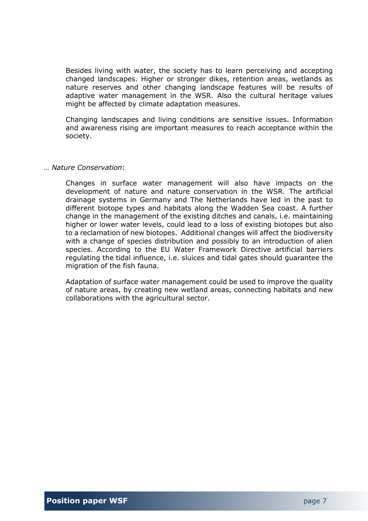Besides living with water, the society has to learn perceiving and accepting changed landscapes. Higher or stronger dikes, retention areas, wetlands as nature reserves and other changing landscape features will be results of adaptive water management in the WSR. Also the cultural heritage values might be affected by climate adaptation measures.

Changing landscapes and living conditions are sensitive issues. Information and awareness rising are important measures to reach acceptance within the society.

#### … *Nature Conservation*:

Changes in surface water management will also have impacts on the development of nature and nature conservation in the WSR. The artificial drainage systems in Germany and The Netherlands have led in the past to different biotope types and habitats along the Wadden Sea coast. A further change in the management of the existing ditches and canals, i.e. maintaining higher or lower water levels, could lead to a loss of existing biotopes but also to a reclamation of new biotopes. Additional changes will affect the biodiversity with a change of species distribution and possibly to an introduction of alien species. According to the EU Water Framework Directive artificial barriers regulating the tidal influence, i.e. sluices and tidal gates should guarantee the migration of the fish fauna.

Adaptation of surface water management could be used to improve the quality of nature areas, by creating new wetland areas, connecting habitats and new collaborations with the agricultural sector.